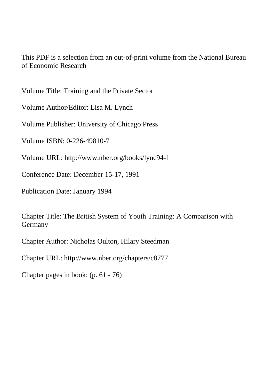This PDF is a selection from an out-of-print volume from the National Bureau of Economic Research

Volume Title: Training and the Private Sector

Volume Author/Editor: Lisa M. Lynch

Volume Publisher: University of Chicago Press

Volume ISBN: 0-226-49810-7

Volume URL: http://www.nber.org/books/lync94-1

Conference Date: December 15-17, 1991

Publication Date: January 1994

Chapter Title: The British System of Youth Training: A Comparison with Germany

Chapter Author: Nicholas Oulton, Hilary Steedman

Chapter URL: http://www.nber.org/chapters/c8777

Chapter pages in book: (p. 61 - 76)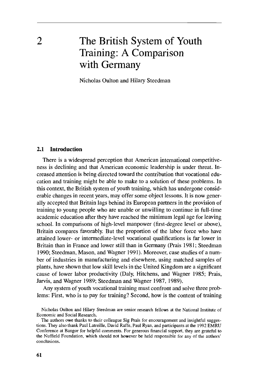# 2 The British System of Youth Training: **A** Comparison with Germany

Nicholas Oulton and Hilary Steedman

# **2.1 Introduction**

There is a widespread perception that American international competitiveness is declining and that American economic leadership is under threat. Increased attention is being directed toward the contribution that vocational education and training might be able to make to a solution of these problems. In this context, the British system of youth training, which has undergone considerable changes in recent years, may offer some object lessons. It is now generally accepted that Britain lags behind its European partners in the provision of training to young people who are unable or unwilling to continue in full-time academic education after they have reached the minimum legal age for leaving school. In comparisons of high-level manpower (first-degree level or above), Britain compares favorably. But the proportion of the labor force who have attained lower- or intermediate-level vocational qualifications is **far** lower in Britain than in France and lower still than in Germany (Prais 1981; Steedman 1990; Steedman, Mason, and Wagner 1991). Moreover, case studies of a number of industries in manufacturing and elsewhere, using matched samples of plants, have shown that low skill levels in the United Kingdom are a significant cause of lower labor productivity (Daly, Hitchens, and Wagner 1985; Prais, Jarvis, and Wagner 1989; Steedman and Wagner 1987, 1989).

Any system of youth vocational training must confront and solve three problems: First, who is to pay for training? Second, how is the content of training

Nicholas Oulton and Hilary Steedman are senior research fellows at the National Institute of Economic and Social Research.

The authors owe thanks to their colleague Sig Prais for encouragement and insightful suggestions. They also thank Paul Latreille, David Raffe, Paul Ryan, and participants at the 1992 EMRU Conference at Bangor for helpful comments. For generous financial support, they are grateful to the Nuffield Foundation, which should not however be held responsible for any of the authors' conclusions.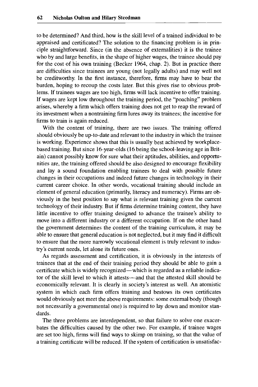to be determined? And third, how is the skill level of a trained individual to be appraised and certificated? The solution to the financing problem is in principle straightforward. Since (in the absence of externalities) it is the trainee who by and large benefits, in the shape of higher wages, the trainee should pay for the cost of his own training (Becker 1964, chap. 2). But in practice there are difficulties since trainees are young (not legally adults) and may well not be creditworthy. In the first instance, therefore, firms may have to bear the burden, hoping to recoup the costs later. But this gives rise to obvious problems. If trainees wages are too high, firms will lack incentive to offer training. If wages are kept low throughout the training period, the "poaching" problem arises, whereby a firm which offers training does not get to reap the reward of its investment when a nontraining firm lures away its trainees; the incentive for firms to train is again reduced,

With the content of training, there are two issues. The training offered should obviously be up-to-date and relevant to the industry in which the trainee is working. Experience shows that this is usually best achieved by workplacebased training. But since 16-year-olds (16 being the school-leaving age in Britain) cannot possibly know for sure what their aptitudes, abilities, and opportunities are, the training offered should be also designed to encourage flexibility and lay a sound foundation enabling trainees to deal with possible future changes in their occupations and indeed future changes in technology in their current career choice. In other words, vocational training should include an element of general education (primarily, literacy and numeracy). Firms are obviously in the best position to say what is relevant training given the current technology of their industry. But if firms determine training content, they have little incentive to offer training designed to advance the trainee's ability to move into a different industry or a different occupation. If on the other hand the government determines the content of the training curriculum, it may be able to ensure that general education is not neglected, but it may find it difficult to ensure that the more narrowly vocational element is truly relevant to industry's current needs, let alone its future ones.

As regards assessment and certification, it is obviously in the interests of trainees that at the end of their training period they should be able to gain a certificate which is widely recognized—which is regarded as a reliable indicator of the skill level to which it attests-and that the attested skill should be economically relevant. It is clearly in society's interest as well. An atomistic system in which each firm offers training and bestows its own certificates would obviously not meet the above requirements: some external body (though not necessarily a governmental one) is required to lay down and monitor standards.

The three problems are interdependent, so that failure to solve one exacerbates the difficulties caused by the other two. For example, if trainee wages are set too high, firms will find ways to skimp on training, so that the value of a training certificate will be reduced. If the system of certification is unsatisfac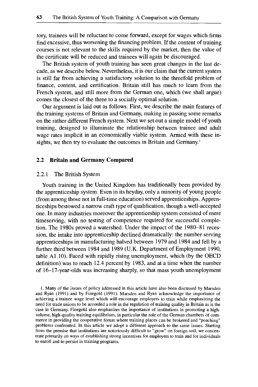tory, trainees will be reluctant to come forward, except for wages which firms find excessive, thus worsening the financing problem. If the content of training courses is not relevant to the skills required by the market, then the value of the certificate will be reduced and trainees will again be discouraged.

The British system of youth training has seen great changes in the last decade, as we describe below. Nevertheless, it is our claim that the current system is still far from achieving a satisfactory solution to the threefold problem of finance, content, and certification. Britain still has much to learn from the French system, and still more from the German one, which (we shall argue) comes the closest of the three to a socially optimal solution.

Our argument is laid out as follows. First, we describe the main features of the training systems of Britain and Germany, making in passing some remarks on the rather different French system. Next we set out a simple model of youth training, designed to illuminate the relationship between trainee and adult wage rates implicit in an economically viable system. Armed with these insights, we then try to evaluate the outcomes in Britain and Germany.'

# **2.2 Britain and Germany Compared**

#### 2.2.1 The British System

Youth training in the United Kingdom has traditionally been provided by the apprenticeship system. Even in its heyday, only a minority of young people (from among those not in full-time education) served apprenticeships. Apprenticeships bestowed a narrow craft type of qualification, though a well-accepted one. In many industries moreover the apprenticeship system consisted of mere timeserving, with no testing of competence required for successful completion. The 1980s proved a watershed. Under the impact of the 1980-81 recession, the intake into apprenticeship declined dramatically: the number serving apprenticeships in manufacturing halved between 1979 and 1984 and fell by a further third between 1984 and 1989 (U.K. Department of Employment 1990, table A1.lO). Faced with rapidly rising unemployment, which (by the OECD definition) was to reach 12.4 percent by 1983, and at a time when the number of 16-17-year-olds was increasing sharply, so that mass youth unemployment

**1.** Many of the issues of policy addressed in this article have also been discussed by Marsden and Ryan (1991) and **by** Finegold (1991). Marsden and Ryan acknowledge the importance of achieving a trainee wage level which will encourage employers to train while emphasizing the need for trade unions to be accorded a role in the regulation of training quality in Britain as **is** the case in Germany. Finegold also emphasizes the importance of institutions in promoting a highvolume, high-quality training equilibrium, in particular the role of the German chambers of commerce in providing the cooperative **forum** where training places can be brokered and "poaching" problems confronted. In this article we adopt a different approach to the same issues. Starting from the premise that institutions are notoriously difficult to "grow" on foreign soil, we concentrate primarily on ways of establishing strong incentives for employers to train and for individuals to enroll and to persist in training programs.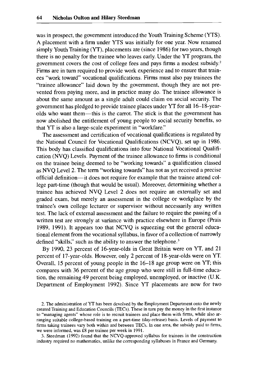was in prospect, the government introduced the Youth Training Scheme (YTS). **A** placement with a firm under YTS was initially for one year. Now renamed simply Youth Training (YT), placements are (since 1986) for two years, though there is no penalty for the trainee who leaves early. Under the YT program, the government covers the cost of college fees and pays firms a modest subsidy.\* Firms are in turn required to provide work experience and to ensure that trainees "work toward" vocational qualifications. Firms must also pay trainees the "trainee allowance" laid down by the government, though they are not prevented from paying more, and in practice many do. The trainee allowance is about the same amount as a single adult could claim on social security. The government has pledged to provide trainee places under YT for all 16-1 8-yearolds who want them-this is the carrot. The stick is that the government has now abolished the entitlement of young people to social security benefits, so that YT is also a large-scale experiment in "workfare."

The assessment and certification of vocational qualifications is regulated by the National Council for Vocational Qualifications (NCVQ), set up in 1986. This body has classified qualifications into four National Vocational Qualification (NVQ) Levels. Payment of the trainee allowance to firms is conditional on the trainee being deemed to be "working towards" a qualification classed as NVQ Level 2. The term "working towards" has not as yet received a precise official definition-it does not require for example that the trainee attend college part-time (though that would be usual). Moreover, determining whether a trainee has achieved NVQ Level 2 does not require an externally set and graded exam, but merely an assessment in the college or workplace by the trainee's own college lecturer or supervisor without necessarily any written test. The lack of external assessment and the failure to require the passing of a written test are strongly at variance with practice elsewhere in Europe (Prais 1989, 1991). It appears too that NCVQ is squeezing out the general educational element from the vocational syllabus, in favor of a collection of narrowly defined "skills," such as the ability to answer the telephone. $3$ 

By 1990, *23* percent of 16-year-olds in Great Britain were on YT, and 21 percent of 17-year-olds. However, only 2 percent of 18-year-olds were on YT. Overall, 15 percent of young people in the 16-18 age group were on YT; this compares with 36 percent of the age group who were still in full-time education, the remaining 49 percent being employed, unemployed, or inactive (U.K. Department of Employment 1992). Since YT placements are now for two

2. The administration of YT has been devolved by the Employment Department onto the newly created Training and Education Councils (TECs). These in turn pay the money in the first instance to "managing agents" whose role is to recruit trainees and place them with firms, while also **ar**ranging suitable college-based training on a part-time (day-release) basis. Levels of payment to firms taking trainees vary both within and between TECs. In one area, the subsidy paid to firms, we were informed, was £8 per trainee per week in 1991.

3. Steedman (1992) found that the NCVQ-approved syllabus for trainees in the construction industry required no mathematics, unlike the corresponding syllabuses in France and Germany.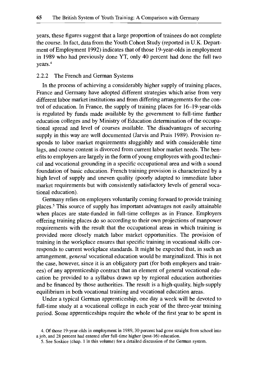years, these figures suggest that a large proportion of trainees do not complete the course. In fact, data from the Youth Cohort Study (reported in U.K. Department of Employment 1992) indicates that of those 19-year-olds in employment in 1989 who had previously done YT, only 40 percent had done the full two years.<sup>4</sup>

#### 2.2.2 The French and German Systems

In the process of achieving a considerably higher supply of training places, France and Germany have adopted different strategies which arise from very different labor market institutions and from differing arrangements for the control of education. In France, the supply of training places for 16-19-year-olds is regulated by funds made available by the government to full-time further education colleges and by Ministry of Education determination of the occupational spread and level of courses available. The disadvantages of securing supply in this way are well documented (Jarvis and Prais 1989). Provision responds to labor market requirements sluggishly and with considerable time lags, and course content is divorced from current labor market needs. The benefits to employers are largely in the form of young employees with good technical and vocational grounding in a specific occupational area and with a sound foundation of basic education. French training provision is characterized by a high level of supply and uneven quality (poorly adapted to immediate labor market requirements but with consistently satisfactory levels of general vocational education).

Germany relies on employers voluntarily coming forward to provide training places.<sup>5</sup> This source of supply has important advantages not easily attainable when places are state-funded in full-time colleges as in France. Employers offering training places do so according to their own projections of manpower requirements with the result that the occupational areas in which training is provided more closely match labor market opportunities. The provision of training in the workplace ensures that specific training in vocational skills corresponds to current workplace standards. It might be expected that, in such an arrangement, *general* vocational education would be marginalized. This is not the case, however, since it is an obligatory part (for both employers and trainees) of any apprenticeship contract that an element of general vocational education be provided to a syllabus drawn up by regional education authorities and be financed by those authorities. The result is a high-quality, high-supply equilibrium in both vocational training and vocational education areas.

Under a typical German apprenticeship, one day a week will be devoted to full-time study at a vocational college in each year of the three-year training period. Some apprenticeships require the whole of the first year to be spent in

<sup>4.</sup> Of those 19-year-olds in employment in 1989,30 percent had **gone** straight from school into a job, and 28 percent had entered after full-time higher (post-16) education.

**<sup>5.</sup>** *See* Soskice (chap. **1** in this **volume)** for a detailed discussion **of** the German system.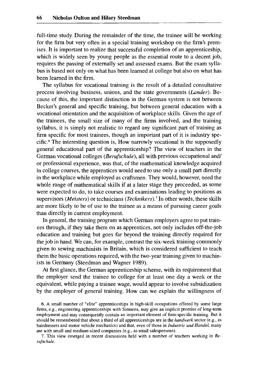full-time study. During the remainder of the time, the trainee will be working for the firm but very often in a special training workshop on the firm's premises. It is important to realize that successful completion of an apprenticeship, which is widely seen by young people as the essential route to a decent job, requires the passing of externally set and assessed exams. But the exam syllabus is based not only on what has been learned at college but also on what has been learned in the firm.

The syllabus for vocational training is the result of a detailed consultative process involving business, unions, and the state governments *(Lander).* Because of this, the important distinction in the German system is not between Becker's general and specific training, but between general education with a vocational orientation and the acquisition of workplace skills. Given the age of the trainees, the small size of many of the firms involved, and the training syllabus, it is simply not realistic to regard any significant part of training as firm specific for most trainees, though an important part of it is industry specific.<sup>6</sup> The interesting question is, How narrowly vocational is the supposedly general educational part of the apprenticeship? The view of teachers in the German vocational colleges *(Berufschuk),* all with previous occupational and/ or professional experience, was that, of the mathematical knowledge acquired in college courses, the apprentices would need to use only a small part directly in the workplace while employed as craftsmen. They would, however, need the whole range of mathematical skills if at a later stage they proceeded, as some were expected to do, to take courses and examinations leading to positions as supervisors *(Meisters)* or technicians *(Technikers)*.<sup>7</sup> In other words, these skills are more likely to be of use to the trainee as a means of pursuing career goals than directly in current employment.

In general, the training program which German employers agree to put trainees through, if they take them on as apprentices, not only includes off-the-job education and training but goes far beyond the training directly required for the job in hand. We can, for example, contrast the six-week training commonly given to sewing machinists in Britain, which is considered sufficient to teach them the basic operations required, with the two-year training given to machinists in Germany (Steedman and Wagner 1989).

At first glance, the German apprenticeship scheme, with its requirement that the employer send the trainee to college for at least one day a week or the equivalent, while paying a trainee wage, would appear to involve subsidization by the employer of general training. How can we explain the willingness of

*6.* **A** small number of "elite" apprenticeships in high-skill occupations offered by some large firms, e.g., engineering apprenticeships with Siemens, may give an implicit promise of long-term employment and may consequently contain an important element of firm-specific training. But it should be remembered that about a third of all apprenticeships are in the *handwerk* sector (e.g., as hairdressers and motor vehicle mechanics) and that, even of those in *Industrie und Hundel,* many are with small and medium-sized companies (e.g., as retail salespersons).

7. This view emerged in recent discussions held with a number of teachers working in *Rerufschule.*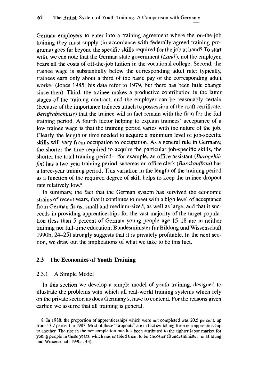German employers to enter into a training agreement where the on-the-job training they must supply (in accordance with federally agreed training programs) goes far beyond the specific skills required for the job at hand? To start with, we can note that the German state government *(Land),* not the employer, bears all the costs of off-the-job tuition in the vocational college. Second, the trainee wage is substantially below the corresponding adult rate: typically, trainees earn only about a third of the basic pay of the corresponding adult worker (Jones 1985; his data refer **to** 1979, but there has been little change since then). Third, the trainee makes a productive contribution in the latter stages of the training contract, and the employer can be reasonably certain (because of the importance trainees attach to possession of the craft certificate, *Berufsabschluss)* that the trainee will in fact remain with the firm for the full training period. **A** fourth factor helping to explain trainees' acceptance of a low trainee wage is that the training period varies with the nature of the job. Clearly, the length of time needed to acquire a minimum level of job-specific skills will vary from occupation to occupation. **As** a general rule in Germany, the shorter the time required to acquire the particular job-specific skills, the shorter the total training period—for example, an office assistant *(Burogehilfin*) has a two-year training period, whereas an office clerk *(Burokauffrau)* has a three-year training period. This variation in the length of the training period as a function of the required degree of skill helps to keep the trainee dropout rate relatively low.<sup>8</sup>

In summary, the fact that the German system has survived the economic strains of recent years, that it continues to meet with a high level of acceptance from German firms, small and medium-sized, as well as large, and that it succeeds in providing apprenticeships for the vast majority of the target population (less than 5 percent of German young people age 15-18 are in neither training nor full-time education; Bundesminister für Bildung und Wissenschaft 1990b, 24-25) strongly suggests that it is privately profitable. In the next section, we draw out the implications of what we take to be this fact.

#### **2.3 The Economics of Youth Training**

### 2.3.1 **A** Simple Model

In this section we develop a simple model of youth training, designed to illustrate the problems with which all real-world training systems which rely on the private sector, as does Germany's, have to contend. For the reasons given earlier, we assume that all training is general.

**<sup>8.</sup> In 1988, the proportion of apprenticeships which were not completed was 20.5 percent, up from 13.7 percent in 1983. Most of these "dropouts" are in fact switching from one apprenticeship**  to **another. The rise in the noncompletion rate has been attributed to the tighter labor market for young people in these years, which has enabled them to be choosier (Bundesminister fur Bildung und Wissenschaft 1990a, 43).**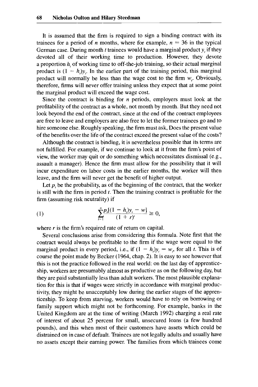It is assumed that the firm is required to sign a binding contract with its trainees for a period of *n* months, where for example,  $n = 36$  in the typical German case. During month *t* trainees would have a marginal product y, if they devoted all of their working time to production. However, they devote a proportion *h,* of working time to off-the-job training, so their actual marginal product is  $(1 - h)y$ . In the earlier part of the training period, this marginal product will normally be less than the wage cost to the firm *w,.* Obviously, therefore, firms will never offer training unless they expect that at some point the marginal product will exceed the wage cost.

Since the contract is binding for *n* periods, employers must look at the profitability of the contract as a whole, not month by month. But they need not look beyond the end of the contract, since at the end of the contract employees are free to leave and employers are also free to let the former trainees go and to hire someone else. Roughly speaking, the firm must ask, Does the present value of the benefits over the life of the contract exceed the present value of the costs?

Although the contract is binding, it is nevertheless possible that its terms are not fulfilled. For example, if we continue to look at it from the firm's point of view, the worker may quit or do something which necessitates dismissal (e.g., assault a manager). Hence the firm must allow for the possibility that it will incur expenditure on labor costs in the earlier months, the worker will then leave, and the firm will never get the benefit of higher output.

Let  $p$ , be the probability, as of the beginning of the contract, that the worker is still with the firm in period *t.* Then the training contract is profitable for the firm (assuming risk neutrality) if

(1) 
$$
\sum_{r=1}^{n} \frac{p_r[(1-h_r)y_r - w]}{(1+r)^r} \ge 0,
$$

where *r* is the firm's required rate of return on capital.

Several conclusions arise from considering this formula. Note first that the contract would always be profitable to the firm if the wage were equal to the marginal product in every period, i.e., if  $(1 - h_i)y_i = w_i$ , for all *t*. This is of course the point made by Becker (1964, chap. 2). It is easy to see however that this is not the practice followed in the real world: on the last day of apprenticeship, workers are presumably almost as productive as on the following day, but they are paid substantially less than adult workers. The most plausible explanation for this is that if wages were strictly in accordance with marginal productivity, they might be unacceptably low during the earlier stages of the apprenticeship. To keep from starving, workers would have to rely on borrowing or family support which might not be forthcoming. For example, banks in the United Kingdom are at the time of writing (March 1992) charging a real rate of interest of about 25 percent for small, unsecured loans (a few hundred pounds), and this when most of their customers have assets which could be distrained on in case of default. Trainees are not legally adults and usually have no assets except their earning power. The families from which trainees come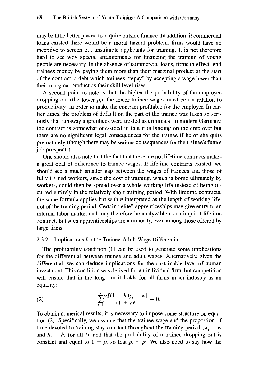may be little better placed to acquire outside finance. In addition, if commercial loans existed there would be a moral hazard problem: firms would have no incentive to screen out unsuitable applicants for training. It is not therefore hard to see why special arrangements for financing the training of young people are necessary. In the absence of commercial loans, firms in effect lend trainees money by paying them more than their marginal product at the start of the contract, a debt which trainees "repay" by accepting a wage lower than their marginal product as their skill level rises.

A second point to note is that the higher the probability of the employee dropping out (the lower *p,),* the lower trainee wages must be (in relation to productivity) in order to make the contract profitable for the employer. In earlier times, the problem of default on the part of the trainee was taken so seriously that runaway apprentices were treated as criminals. In modern Germany, the contract is somewhat one-sided in that it is binding on the employer but there are no significant legal consequences for the trainee if he or she quits prematurely (though there may be serious consequences for the trainee's future job prospects).

One should also note that the fact that these are not lifetime contracts makes a great deal of difference to trainee wages. If lifetime contracts existed, we should see a much smaller gap between the wages of trainees and those of fully trained workers, since the cost of training, which is borne ultimately by workers, could then be spread over a whole working life instead of being incurred entirely in the relatively short training period. With lifetime contracts, the same formula applies but with *n* interpreted as the length of working life, not of the training period. Certain "elite" apprenticeships may give entry to an internal labor market and may therefore be analyzable as an implicit lifetime contract, but such apprenticeships are a minority, even among those offered by large firms.

# *2.3.2* Implications for the Trainee-Adult Wage Differential

The profitability condition **(1)** can be used to generate some implications for the differential between trainee and adult wages. Alternatively, given the differential, we can deduce implications for the sustainable level of human investment. This condition was derived for an individual firm, but competition will ensure that in the long run it holds for all firms in an industry as an equality:

(2) 
$$
\sum_{r=1}^{n} \frac{p_r[(1-h_r)y_r - w]}{(1+r)^r} = 0.
$$

To obtain numerical results, it is necessary to impose some structure on equation *(2).* Specifically, we assume that the trainee wage and the proportion of time devoted to training stay constant throughout the training period  $(w_t = w_t)$ and  $h = h$ , for all *t*), and that the probability of a trainee dropping out is constant and equal to  $1 - p$ , so that  $p_t = p'$ . We also need to say how the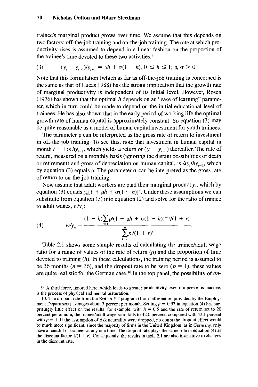trainee's marginal product grows over time. We assume that this depends on two factors: off-the-job training and on-the-job training. The rate at which productivity rises is assumed to depend in a linear fashion on the proportion of the trainee's time devoted to these two activities:<sup>9</sup><br>(3)  $(y_t - y_{t-1})/y_{t-1} = \rho h + \sigma(1 - h), 0 \le h \le 1; \rho, \sigma > 0.$ the trainee's time devoted to these two activities:<sup>9</sup>

(3) 
$$
(y_{t} - y_{t-1})/y_{t-1} = \rho h + \sigma(1 - h), 0 \le h \le 1; \rho, \sigma > 0.
$$

Note that this formulation (which as far as off-the-job training is concerned is the same as that of Lucas 1988) has the strong implication that the growth rate of marginal productivity is independent of its initial level. However, Rosen (1976) has shown that the optimal *h* depends on an "ease of learning" parameter, which in turn could be made to depend on the initial educational level of trainees. He has also shown that in the early period of working life the optimal growth rate of human capital is approximately constant. So equation (3) may be quite reasonable as a model of human capital investment for youth trainees.

The parameter  $\rho$  can be interpreted as the gross rate of return to investment in off-the-job training. To see this, note that investment in human capital in month  $t - 1$  is  $hy_{t-1}$ , which yields a return of  $(y_t - y_{t-1})$  thereafter. The rate of return, measured on a monthly basis (ignoring the distant possibilities of death or retirement) and gross of depreciation on human capital, is  $\Delta y_r / h y_{r-1}$ , which by equation (3) equals  $\rho$ . The parameter  $\sigma$  can be interpreted as the gross rate of return to on-the-job training.

Now assume that adult workers are paid their marginal product  $y_n$ , which by equation (3) equals  $y_0[1 + \rho h + \sigma(1 - h)]^n$ . Under these assumptions we can substitute from equation  $(3)$  into equation  $(2)$  and solve for the ratio of trainee to adult wages, *wly,,:* 

(4) 
$$
w/y_{n} = \frac{(1-h)\sum_{r=1}^{n} p'(1+\rho h + \sigma(1-h))^{r-n}/(1+r)^{r}}{\sum_{r=1}^{n} p''/(1+r)^{r}}
$$

Table 2.1 shows some sample results of calculating the trainee/adult wage ratio for a range of values of the rate of return **(p)** and the proportion of time devoted to training *(h).* In these calculations, the training period is assumed to be 36 months  $(n = 36)$ , and the dropout rate to be zero  $(p = 1)$ ; these values are quite realistic for the German case.<sup>10</sup> In the top panel, the possibility of on-

**9. A** third force, ignored here, which leads to greater productivity, even if a person is inactive, is the process of physical and mental maturation.

10. The dropout rate from the British YT program (from information provided by the Employment Department) averages about **3** percent per month. Setting *p* = 0.97 in equation (4) has surprisingly little effect on the results: for example, with  $h = 0.5$  and the rate of return set to 20 percent per annum, the trainee/adult wage ratio falls to 42.0 percent, compared with 43.1 percent with  $p = 1$ . If the assumption of risk neutrality were dropped, no doubt the dropout effect would be much more significant, since the majority of firms in the United Kingdom, **as** in Germany, only have a handful of trainees **at** any one time. The dropout rate plays the same role in equation (4) as the discount factor  $1/(1 + r)$ . Consequently, the results in table 2.1 are also insensitive to changes in the discount rate.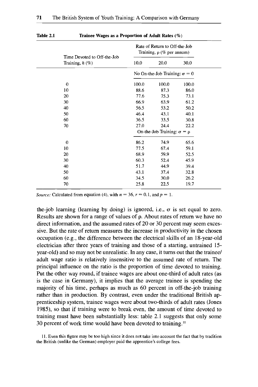| Time Devoted to Off-the-Job<br>Training, $h$ $(\%)$ | Rate of Return to Off-the-Job<br>Training, $\rho$ (% per annum) |       |       |
|-----------------------------------------------------|-----------------------------------------------------------------|-------|-------|
|                                                     | 10.0                                                            | 20.0  | 30.0  |
|                                                     | No On-the-Job Training: $\sigma = 0$                            |       |       |
| $\Omega$                                            | 100.0                                                           | 100.0 | 100.0 |
| 10                                                  | 88.6                                                            | 87.3  | 86.0  |
| 20                                                  | 77.6                                                            | 75.3  | 73.1  |
| 30                                                  | 66.9                                                            | 63.9  | 61.2  |
| 40                                                  | 56.5                                                            | 53.2  | 50.2  |
| 50                                                  | 46.4                                                            | 43.1  | 40.1  |
| 60                                                  | 36.5                                                            | 33.5  | 30.8  |
| 70                                                  | 27.0                                                            | 24.4  | 22.2  |
|                                                     | On-the-Job Training: $\sigma = \rho$                            |       |       |
| 0                                                   | 86.2                                                            | 74.9  | 65.6  |
| 10                                                  | 77.5                                                            | 67.4  | 59.1  |
| 20                                                  | 68.9                                                            | 59.9  | 52.5  |
| 30                                                  | 60.3                                                            | 52.4  | 45.9  |
| 40                                                  | 51.7                                                            | 44.9  | 39.4  |
| 50                                                  | 43.1                                                            | 37.4  | 32.8  |
| 60                                                  | 34.5                                                            | 30.0  | 26.2  |
| 70                                                  | 25.8                                                            | 22.5  | 19.7  |

**Table 2.1 Trainee Wages as a Proportion of Adult Rates** (%)

*Source:* Calculated from equation (4), with  $n = 36$ ,  $r = 0.1$ , and  $p = 1$ .

the-job learning (learning by doing) is ignored, i.e.,  $\sigma$  is set equal to zero. Results are shown for a range of values of **p.** About rates of return we have no direct information, and the assumed rates of 20 or 30 percent may seem excessive. But the rate of return measures the increase in productivity in the chosen occupation (e.g., the difference between the electrical skills of an 18-year-old electrician after three years of training and those of a starting, untrained 15 year-old) and so may not be unrealistic. In any case, it turns out that the trainee/ adult wage ratio is relatively insensitive to the assumed rate of return. The principal influence on the ratio is the proportion of time devoted to training. **Put** the other way round, if trainee wages are about one-third of adult rates (as is the case in Germany), it implies that the average trainee is spending the majority of his time, perhaps as much as 60 percent in off-the-job training rather than in production. By contrast, even under the traditional British apprenticeship system, trainee wages were about two-thirds of adult rates (Jones 1985), so that if training were to break even, the amount of time devoted to training must have been substantially less: table 2.1 suggests that only some 30 percent of work time would have been devoted to training.<sup>11</sup>

11. Even this figure may be too high since it does not take into account the fact that by tradition the British (unlike the German) employer paid the apprentice's college fees.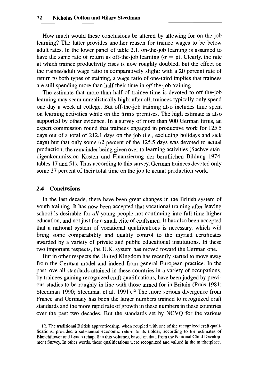How much would these conclusions be altered by allowing for on-the-job learning? The latter provides another reason for trainee wages to be below adult rates. In the lower panel of table 2.1, on-the-job learning is assumed to have the same rate of return as off-the-job learning ( $\sigma = \rho$ ). Clearly, the rate at which trainee productivity rises is now roughly doubled, but the effect on the trainee/adult wage ratio is comparatively slight: with a 20 percent rate of return to both types of training, a wage ratio of one-third implies that trainees are still spending more than half their time in  $off$ -the-job training.

The estimate that more than half of trainee time is devoted to off-the-job learning may seem unrealistically high: after all, trainees typically only spend one day a week at college. But off-the-job training also includes time spent on learning activities while on the firm's premises. The high estimate is also supported by other evidence. In a survey of more than 900 German firms, an expert commission found that trainees engaged in productive work for 125.5 days out of a total of 212.1 days on the job (i.e., excluding holidays and sick days) but that only some 62 percent of the 125.5 days was devoted to actual production, the remainder being given over to learning activities (Sachverständigenkommission Kosten und Finanzierung der beruflichen Bildung 1974, tables 17 and 51). Thus according to this survey, German trainees devoted only some **37** percent of their total time on the job to actual production work.

#### **2.4 Conclusions**

In the last decade, there have been great changes in the British system of youth training. It has now been accepted that vocational training after leaving school is desirable for *all* young people not continuing into full-time higher education, and not just for a small elite of craftsmen. It has also been accepted that a national system of vocational qualifications is necessary, which will bring some comparability and quality control to the myriad certificates awarded by a variety of private and public educational institutions. In these two important respects, the U.K. system has moved toward the German one.

But in other respects the United Kingdom has recently started to move away from the German model and indeed from general European practice. In the past, overall standards attained in these countries in a variety of occupations, by trainees gaining recognized craft qualifications, have been judged by previous studies to be roughly in line with those aimed for in Britain (Prais 1981; Steedman 1990; Steedman et al. 1991).<sup>12</sup> The more serious divergence from France and Germany has been the larger numbers trained to recognized craft standards and the more rapid rate of growth in these numbers in these countries over the past two decades. But the standards set by NCVQ for the various

<sup>12.</sup> The traditional British apprenticeship, when coupled with one of the recognized craft qualifications, provided a substantial economic return to its holder, according to the estimates of Blanchflower and Lynch (chap. 8 in this volume), based on data from the National Child Development Survey. In other words, these qualifications were recognized and valued in the marketplace.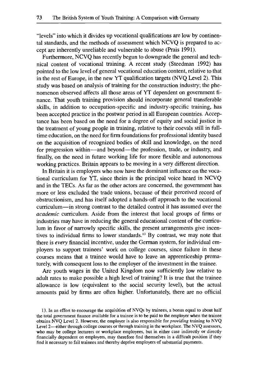"levels" into which it divides up vocational qualifications are low by continental standards, and the methods of assessment which NCVQ is prepared to accept are inherently unreliable and vulnerable to abuse (Prais **1991).** 

Furthermore, NCVQ has recently begun to downgrade the general and technical content of vocational training. A recent study (Steedman **1992)** has pointed to the low level of general vocational education content, relative to that in the rest of Europe, in the new YT qualification targets (NVQ Level *2).* This study was based on analysis of training for the construction industry; the phenomenon observed affects all those areas of YT dependent on government finance. That youth training provision should incorporate general transferable skills, in addition to occupation-specific and industry-specific training, has been accepted practice in the postwar period in all European countries. Acceptance has been based on the need for a degree of equity and social justice in the treatment of young people in training, relative to their coevals still in fulltime education, on the need for firm foundations for professional identity based on the acquisition of recognized bodies of skill and knowledge, on the need for progression within-and beyond-the profession, trade, or industry, and finally, on the need in future working life for more flexible and autonomous working practices. Britain appears to be moving in a very different direction.

In Britain it is employers who now have the dominant influence on the vocational curriculum for YT, since theirs is the principal voice heard in NCVQ and in the TECs. As far as the other actors are concerned, the government has more or less excluded the trade unions, because of their perceived record of obstructionism, and has itself adopted a hands-off approach to the vocational curriculum-in strong contrast to the detailed control it has assumed over the *academic* curriculum. Aside from the interest that local groups of firms or industries may have in reducing the general educational content of the curriculum in favor of narrowly specific skills, the present arrangements give incentives to individual firms to lower standards.<sup>13</sup> By contrast, we may note that there is *every* financial incentive, under the German system, for individual employers to support trainees' work on college courses, since failure in these courses means that a trainee would have to leave an apprenticeship prematurely, with consequent loss to the employer of the investment in the trainee.

Are youth wages in the United Kingdom now sufficiently low relative to adult rates to make possible a high level of training? It is true that the trainee allowance is low (equivalent to the social security level), but the actual amounts paid by firms are often higher. Unfortunately, there are no official

**<sup>13.</sup> In an effort to encourage the acquisition of NVQs by trainees, a bonus equal to about half the total government finance available for a trainee is to be paid to the employer when the trainee obtains NVQ Level 2. However, the employer is also responsible for** *providing* **training to NVQ**  Level 2-either through college courses or through training in the workplace. The NVQ assessors, **who may be college lecturers or workplace employees, but in either case indirectly or directly financially dependent on employers, may therefore find themselves in a difficult position if they find it necessary to fail trainees and thereby deprive employers of substantial payments.**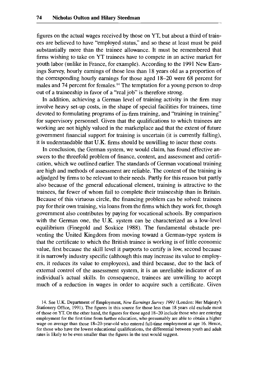figures on the actual wages received by those on YT, but about a third of trainees are believed to have "employed status," and so these at least must be paid substantially more than the trainee allowance. It must be remembered that firms wishing to take on YT trainees have to compete in an active market for youth labor (unlike in France, for example). According to the 1991 New Earnings Survey, hourly earnings of those less than 18 years old as a proportion of the corresponding hourly earnings for those aged 18-20 were 68 percent for males and 74 percent for females.<sup>14</sup> The temptation for a young person to drop out of a traineeship in favor of a "real job" is therefore strong.

In addition, achieving a German level of training activity in the firm may involve heavy set-up costs, in the shape of special facilities for trainees, time devoted to formulating programs of in-firm training, and "training in training" for supervisory personnel. Given that the qualifications to which trainees are working are not highly valued in the marketplace and that the extent of future government financial support for training is uncertain (it is currently falling), it is understandable that U.K. firms should be unwilling to incur these costs.

In conclusion, the German system, we would claim, has found effective answers to the threefold problem of finance, content, and assessment and certification, which we outlined earlier. The standards of German vocational training are high and methods of assessment are reliable. The content of the training is adjudged by firms to be relevant to their needs. Partly for this reason but partly also because of the general educational element, training is attractive to the trainees, far fewer of whom fail to complete their traineeship than in Britain. Because of this virtuous circle, the financing problem can be solved: trainees pay for their own training, via loans from the firms which they work for, though government also contributes by paying for vocational schools. By comparison with the German one, the U.K. system can be characterized as a low-level equilibrium (Finegold and Soskice 1988). The fundamental obstacle preventing the United Kingdom from moving toward a German-type system is that the certificate to which the British trainee is working is of little economic value, first because the skill level it purports to certify is low, second because it is narrowly industry specific (although this may increase its value to employers, it reduces its value to employees), and third because, due to the lack of external control of the assessment system, it is an unreliable indicator of an individual's actual skills. In consequence, trainees are unwilling to accept much of a reduction in wages in order to acquire such a certificate. Given

**<sup>14.</sup> See** U.K. Department of Employment, *New Earnings Survey 1991* (London: **Her** Majesty's Stationery Office, 1991). The figures in this source for those less than 18 years old exclude most of those on YT. On the other hand, the figures for those aged 18-20 include those who are entering employment for the first time from further education, who presumably are able to obtain a higher wage on average than those 18-20-year-old who entered full-time employment at age 16. Hence, for those who have the lowest educational qualifications, the differential between youth and adult rates is likely to be even smaller than the figures in the text would suggest.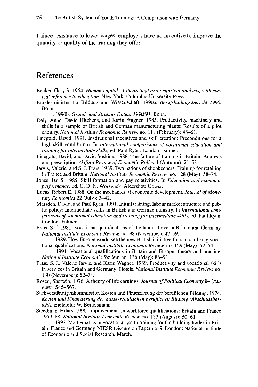trainee resistance to lower wages, employers have no incentive to improve the quantity or quality of the training they offer.

# References

- Becker, Gary **S.** 1964. *Human capital: A theoretical and empirical analysis, with special reference to education.* New York: Columbia University Press.
- Bundesminister fur Bildung und Wissenschaft. 1990a. *Berufsbildungsbericht* 1990. Bonn.
	- . 1990b. *Grund- und Struktur Daten: 1990/91.* Bonn.
- Daly, Anne, David Hitchens, and Karin Wagner. 1985. Productivity, machinery and skills in a sample of British and German manufacturing plants: Results of a pilot enquiry. *National Institute Economic Review*, no. 111 (February): 48-61.
- Finegold, David. 1991. Institutional incentives and skill creation: Preconditions for a high-skill equilibrium. In *International comparisons of vocational education and training for intermediate skills,* ed. Paul Ryan. London: Falmer.
- Finegold, David, and David Soskice. 1988. The failure of training in Britain: Analysis and prescription. *Oxford Review of Economic Policy* 4 (Autumn): 21-53.
- Jarvis, Valerie, and **S.** J. Prais. 1989. Two nations of shopkeepers: Training for retailing in France and Britain. *National Institute Economic Review,* no. 128 (May): 58-74.
- Jones, Ian **S.** 1985. Skill formation and pay relativities. In *Education and economic performance,* ed. G. D. N. Worswick. Aldershot: Gower.
- Lucas, Robert E. 1988. On the mechanics of economic development. *Journal ofMonetary Economics* 22 (July): 3-42.
- Marsden, David, and Paul Ryan. 1991. Initial training, labour market structure and public policy: Intermediate skills in British and German industry. In *International comparisons* of *vocational education and training for intermediate skills,* ed. Paul Ryan. London: Falmer.
- Prais, S. J. 1981. Vocational qualifications of the labour force in Britain and Germany. *National Institute Economic Review,* no. 98 (November): 47-59.
- . 1989. How Europe would see the new British initiative for standardising vocational qualifications. *National Institute Economic Review,* no. 129 (May): 52-54.
- . 1991. Vocational qualifications in Britain and Europe: theory and practice. *National Institute Economic Review,* no. 136 (May): 86-91.
- Prais, **S.** J., Valerie Jarvis, and Karin Wagner. 1989. Productivity and vocational skills in services in Britain and Germany: Hotels. *National Institute Economic Review,* no. 130 (November): 52-74.
- Rosen, Sherwin. 1976. **A** theory of life earnings. *Journal* of *Political Economy* 84 (August): S45-S67.
- Sachverstandigenkommission Kosten und Finanzierung der beruflichen Bildung. 1974. *Kosten und Finanzierung der ausserschulischen berujlichen Bildung (Abschlussbericht).* Bielefeld: W. Bertelsmann.
- Steedman, Hilary. 1990. Improvements in workforce qualifications: Britain and France 1979-88. *National Institute Economic Review,* no. 133 (August): 50-61.
	- . 1992. Mathematics in vocational youth training for the building trades in Britain, France and Germany. NIESR Discussion Paper no. 9. London: National Institute of Economic and Social Research, March.